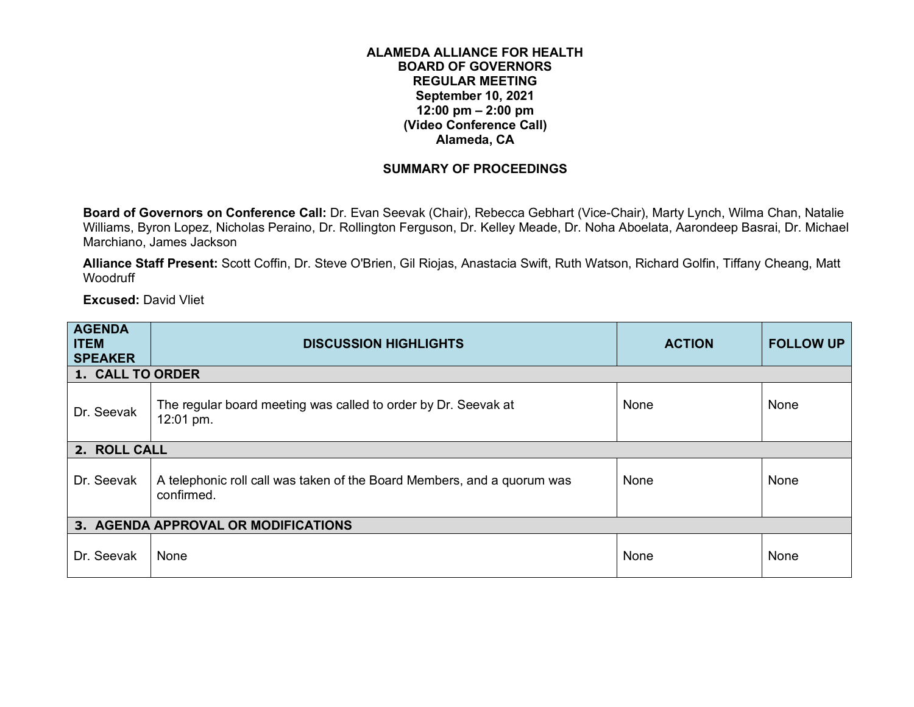## **ALAMEDA ALLIANCE FOR HEALTH BOARD OF GOVERNORS REGULAR MEETING September 10, 2021 12:00 pm – 2:00 pm (Video Conference Call) Alameda, CA**

## **SUMMARY OF PROCEEDINGS**

**Board of Governors on Conference Call:** Dr. Evan Seevak (Chair), Rebecca Gebhart (Vice-Chair), Marty Lynch, Wilma Chan, Natalie Williams, Byron Lopez, Nicholas Peraino, Dr. Rollington Ferguson, Dr. Kelley Meade, Dr. Noha Aboelata, Aarondeep Basrai, Dr. Michael Marchiano, James Jackson

**Alliance Staff Present:** Scott Coffin, Dr. Steve O'Brien, Gil Riojas, Anastacia Swift, Ruth Watson, Richard Golfin, Tiffany Cheang, Matt **Woodruff** 

**Excused:** David Vliet

| <b>AGENDA</b><br><b>ITEM</b><br><b>SPEAKER</b> | <b>DISCUSSION HIGHLIGHTS</b>                                                          | <b>ACTION</b> | <b>FOLLOW UP</b> |
|------------------------------------------------|---------------------------------------------------------------------------------------|---------------|------------------|
| <b>1. CALL TO ORDER</b>                        |                                                                                       |               |                  |
| Dr. Seevak                                     | The regular board meeting was called to order by Dr. Seevak at<br>12:01 pm.           | None          | None             |
| 2. ROLL CALL                                   |                                                                                       |               |                  |
| Dr. Seevak                                     | A telephonic roll call was taken of the Board Members, and a quorum was<br>confirmed. | None          | None             |
|                                                | 3. AGENDA APPROVAL OR MODIFICATIONS                                                   |               |                  |
| Dr. Seevak                                     | None                                                                                  | None          | None             |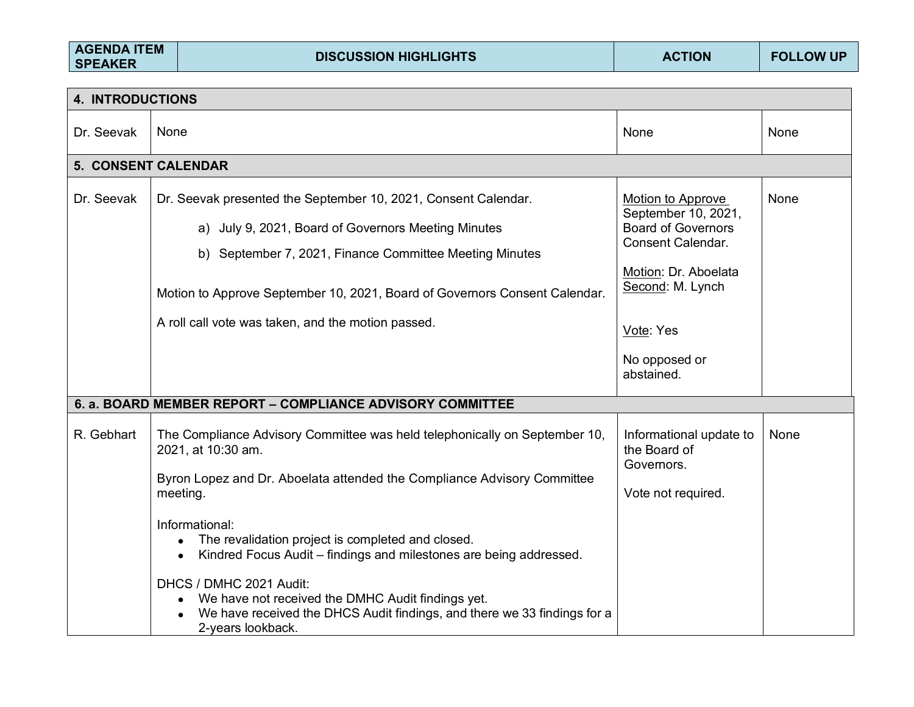| <b>AGENDA ITEM</b><br><b>DISCUSSION HIGHLIGHTS</b><br><b>FOLLOW UP</b><br><b>ACTION</b><br><b>SPEAKER</b> |
|-----------------------------------------------------------------------------------------------------------|
|-----------------------------------------------------------------------------------------------------------|

| <b>4. INTRODUCTIONS</b>    |                                                                                                                                                                                                                                                                                                                                                      |                                                                                                                                                                                    |      |  |  |  |
|----------------------------|------------------------------------------------------------------------------------------------------------------------------------------------------------------------------------------------------------------------------------------------------------------------------------------------------------------------------------------------------|------------------------------------------------------------------------------------------------------------------------------------------------------------------------------------|------|--|--|--|
| Dr. Seevak                 | None                                                                                                                                                                                                                                                                                                                                                 | None                                                                                                                                                                               | None |  |  |  |
| <b>5. CONSENT CALENDAR</b> |                                                                                                                                                                                                                                                                                                                                                      |                                                                                                                                                                                    |      |  |  |  |
| Dr. Seevak                 | Dr. Seevak presented the September 10, 2021, Consent Calendar.<br>a) July 9, 2021, Board of Governors Meeting Minutes<br>b) September 7, 2021, Finance Committee Meeting Minutes<br>Motion to Approve September 10, 2021, Board of Governors Consent Calendar.<br>A roll call vote was taken, and the motion passed.                                 | Motion to Approve<br>September 10, 2021,<br><b>Board of Governors</b><br>Consent Calendar.<br>Motion: Dr. Aboelata<br>Second: M. Lynch<br>Vote: Yes<br>No opposed or<br>abstained. | None |  |  |  |
|                            | 6. a. BOARD MEMBER REPORT – COMPLIANCE ADVISORY COMMITTEE                                                                                                                                                                                                                                                                                            |                                                                                                                                                                                    |      |  |  |  |
| R. Gebhart                 | The Compliance Advisory Committee was held telephonically on September 10,<br>2021, at 10:30 am.<br>Byron Lopez and Dr. Aboelata attended the Compliance Advisory Committee<br>meeting.                                                                                                                                                              | Informational update to<br>the Board of<br>Governors.<br>Vote not required.                                                                                                        | None |  |  |  |
|                            | Informational:<br>The revalidation project is completed and closed.<br>$\bullet$<br>Kindred Focus Audit - findings and milestones are being addressed.<br>$\bullet$<br>DHCS / DMHC 2021 Audit:<br>We have not received the DMHC Audit findings yet.<br>We have received the DHCS Audit findings, and there we 33 findings for a<br>2-years lookback. |                                                                                                                                                                                    |      |  |  |  |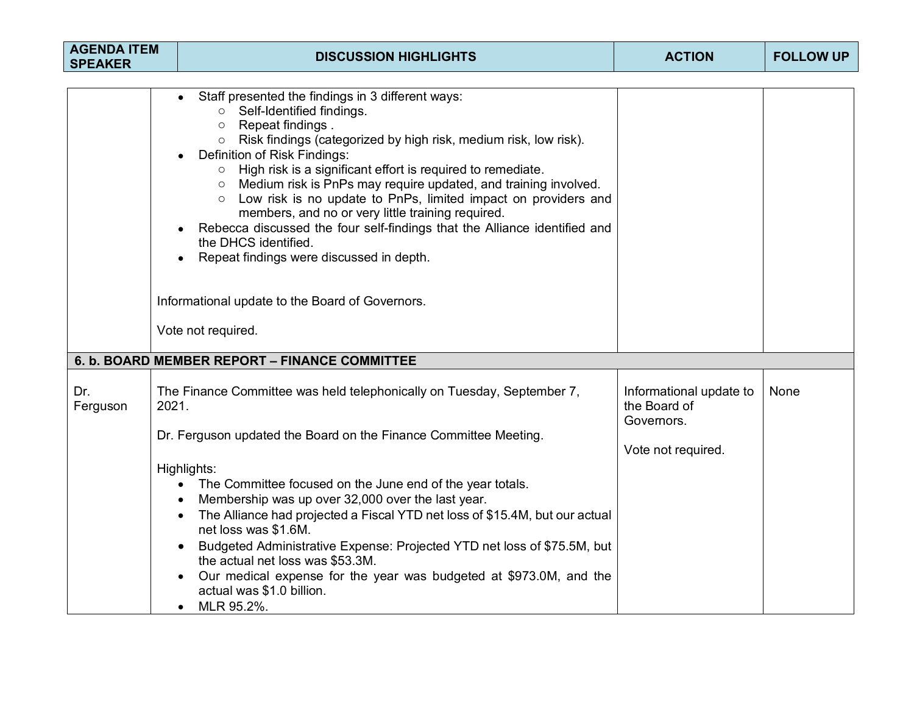| <b>AGENDA ITEM</b><br><b>SPEAKER</b> | <b>DISCUSSION HIGHLIGHTS</b>                                                                                                                                                                                                                                                                                                                                                                                                                                                                                                                                                                                                                                               | <b>ACTION</b>                                         | <b>FOLLOW UP</b> |
|--------------------------------------|----------------------------------------------------------------------------------------------------------------------------------------------------------------------------------------------------------------------------------------------------------------------------------------------------------------------------------------------------------------------------------------------------------------------------------------------------------------------------------------------------------------------------------------------------------------------------------------------------------------------------------------------------------------------------|-------------------------------------------------------|------------------|
|                                      |                                                                                                                                                                                                                                                                                                                                                                                                                                                                                                                                                                                                                                                                            |                                                       |                  |
|                                      | Staff presented the findings in 3 different ways:<br>○ Self-Identified findings.<br>Repeat findings .<br>$\circ$<br>Risk findings (categorized by high risk, medium risk, low risk).<br>$\circ$<br>Definition of Risk Findings:<br>High risk is a significant effort is required to remediate.<br>$\circ$<br>Medium risk is PnPs may require updated, and training involved.<br>$\circ$<br>Low risk is no update to PnPs, limited impact on providers and<br>$\circ$<br>members, and no or very little training required.<br>Rebecca discussed the four self-findings that the Alliance identified and<br>the DHCS identified.<br>Repeat findings were discussed in depth. |                                                       |                  |
|                                      | Informational update to the Board of Governors.                                                                                                                                                                                                                                                                                                                                                                                                                                                                                                                                                                                                                            |                                                       |                  |
|                                      | Vote not required.                                                                                                                                                                                                                                                                                                                                                                                                                                                                                                                                                                                                                                                         |                                                       |                  |
|                                      | 6. b. BOARD MEMBER REPORT - FINANCE COMMITTEE                                                                                                                                                                                                                                                                                                                                                                                                                                                                                                                                                                                                                              |                                                       |                  |
| Dr.<br>Ferguson                      | The Finance Committee was held telephonically on Tuesday, September 7,<br>2021.                                                                                                                                                                                                                                                                                                                                                                                                                                                                                                                                                                                            | Informational update to<br>the Board of<br>Governors. | None             |
|                                      | Dr. Ferguson updated the Board on the Finance Committee Meeting.                                                                                                                                                                                                                                                                                                                                                                                                                                                                                                                                                                                                           | Vote not required.                                    |                  |
|                                      | Highlights:<br>The Committee focused on the June end of the year totals.<br>$\bullet$<br>Membership was up over 32,000 over the last year.<br>The Alliance had projected a Fiscal YTD net loss of \$15.4M, but our actual<br>net loss was \$1.6M.<br>Budgeted Administrative Expense: Projected YTD net loss of \$75.5M, but<br>the actual net loss was \$53.3M.<br>Our medical expense for the year was budgeted at \$973.0M, and the<br>actual was \$1.0 billion.<br>MLR 95.2%.                                                                                                                                                                                          |                                                       |                  |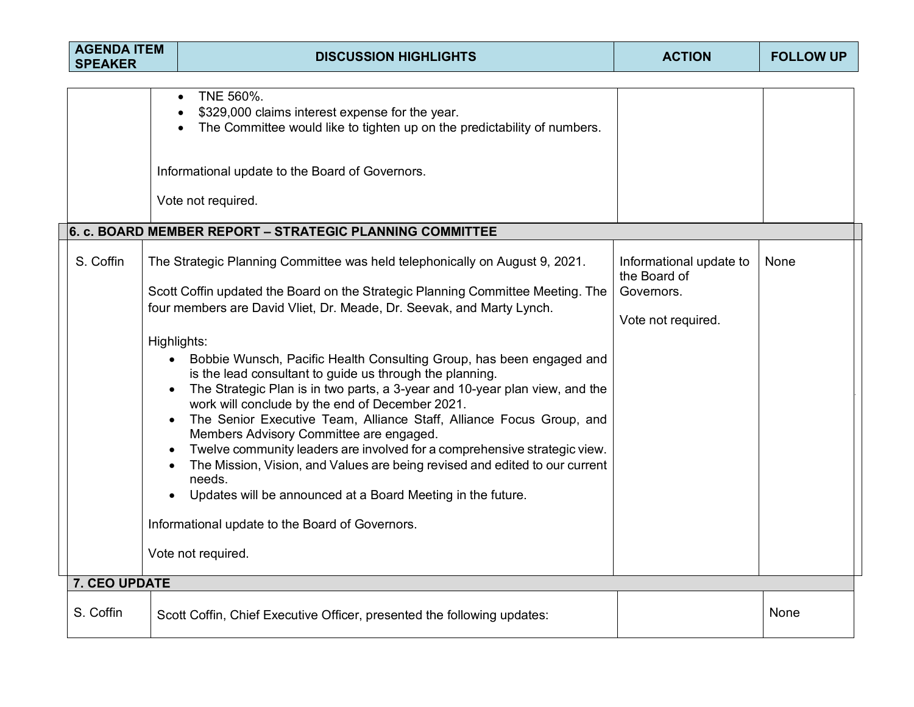| <b>AGENDA ITEM</b><br><b>SPEAKER</b> | <b>DISCUSSION HIGHLIGHTS</b>                                                                                                                                                                                                                                                                                                                                                                                                                                                                                                                                                                                                                                                                                                                                                                                                                                                                                                                                  | <b>ACTION</b>                                                               | <b>FOLLOW UP</b> |
|--------------------------------------|---------------------------------------------------------------------------------------------------------------------------------------------------------------------------------------------------------------------------------------------------------------------------------------------------------------------------------------------------------------------------------------------------------------------------------------------------------------------------------------------------------------------------------------------------------------------------------------------------------------------------------------------------------------------------------------------------------------------------------------------------------------------------------------------------------------------------------------------------------------------------------------------------------------------------------------------------------------|-----------------------------------------------------------------------------|------------------|
|                                      | TNE 560%.<br>\$329,000 claims interest expense for the year.<br>The Committee would like to tighten up on the predictability of numbers.<br>Informational update to the Board of Governors.<br>Vote not required.                                                                                                                                                                                                                                                                                                                                                                                                                                                                                                                                                                                                                                                                                                                                             |                                                                             |                  |
|                                      | 6. c. BOARD MEMBER REPORT - STRATEGIC PLANNING COMMITTEE                                                                                                                                                                                                                                                                                                                                                                                                                                                                                                                                                                                                                                                                                                                                                                                                                                                                                                      |                                                                             |                  |
| S. Coffin                            | The Strategic Planning Committee was held telephonically on August 9, 2021.<br>Scott Coffin updated the Board on the Strategic Planning Committee Meeting. The<br>four members are David Vliet, Dr. Meade, Dr. Seevak, and Marty Lynch.<br>Highlights:<br>Bobbie Wunsch, Pacific Health Consulting Group, has been engaged and<br>is the lead consultant to guide us through the planning.<br>The Strategic Plan is in two parts, a 3-year and 10-year plan view, and the<br>work will conclude by the end of December 2021.<br>The Senior Executive Team, Alliance Staff, Alliance Focus Group, and<br>Members Advisory Committee are engaged.<br>Twelve community leaders are involved for a comprehensive strategic view.<br>The Mission, Vision, and Values are being revised and edited to our current<br>needs.<br>Updates will be announced at a Board Meeting in the future.<br>Informational update to the Board of Governors.<br>Vote not required. | Informational update to<br>the Board of<br>Governors.<br>Vote not required. | None             |
| 7. CEO UPDATE                        |                                                                                                                                                                                                                                                                                                                                                                                                                                                                                                                                                                                                                                                                                                                                                                                                                                                                                                                                                               |                                                                             |                  |
| S. Coffin                            | Scott Coffin, Chief Executive Officer, presented the following updates:                                                                                                                                                                                                                                                                                                                                                                                                                                                                                                                                                                                                                                                                                                                                                                                                                                                                                       |                                                                             | None             |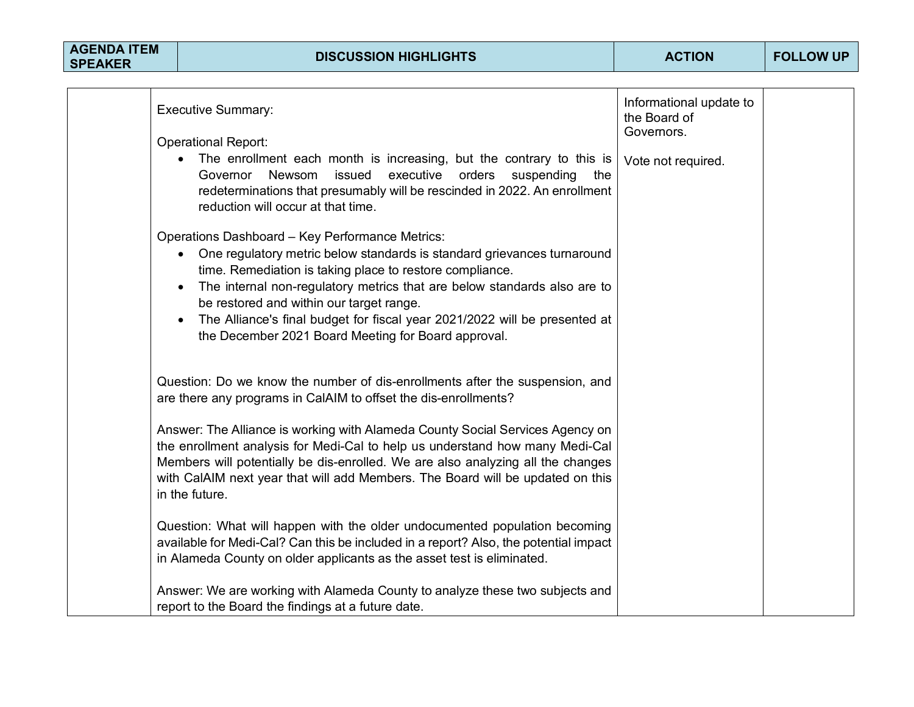| <b>AGENDA ITEM</b><br><b>SPEAKER</b> |  | <b>DISCUSSION HIGHLIGHTS</b>                                                                                                                                                                                                                                                                                                                                                                                                                                                  | <b>ACTION</b>                                         | <b>FOLLOW UP</b> |
|--------------------------------------|--|-------------------------------------------------------------------------------------------------------------------------------------------------------------------------------------------------------------------------------------------------------------------------------------------------------------------------------------------------------------------------------------------------------------------------------------------------------------------------------|-------------------------------------------------------|------------------|
|                                      |  |                                                                                                                                                                                                                                                                                                                                                                                                                                                                               |                                                       |                  |
|                                      |  | <b>Executive Summary:</b><br><b>Operational Report:</b>                                                                                                                                                                                                                                                                                                                                                                                                                       | Informational update to<br>the Board of<br>Governors. |                  |
|                                      |  | The enrollment each month is increasing, but the contrary to this is<br>executive orders<br>Governor Newsom<br>issued<br>suspending the<br>redeterminations that presumably will be rescinded in 2022. An enrollment<br>reduction will occur at that time.                                                                                                                                                                                                                    | Vote not required.                                    |                  |
|                                      |  | Operations Dashboard - Key Performance Metrics:<br>One regulatory metric below standards is standard grievances turnaround<br>$\bullet$<br>time. Remediation is taking place to restore compliance.<br>The internal non-regulatory metrics that are below standards also are to<br>$\bullet$<br>be restored and within our target range.<br>The Alliance's final budget for fiscal year 2021/2022 will be presented at<br>the December 2021 Board Meeting for Board approval. |                                                       |                  |
|                                      |  | Question: Do we know the number of dis-enrollments after the suspension, and<br>are there any programs in CalAIM to offset the dis-enrollments?                                                                                                                                                                                                                                                                                                                               |                                                       |                  |
|                                      |  | Answer: The Alliance is working with Alameda County Social Services Agency on<br>the enrollment analysis for Medi-Cal to help us understand how many Medi-Cal<br>Members will potentially be dis-enrolled. We are also analyzing all the changes<br>with CalAIM next year that will add Members. The Board will be updated on this<br>in the future.                                                                                                                          |                                                       |                  |

Question: What will happen with the older undocumented population becoming available for Medi-Cal? Can this be included in a report? Also, the potential impact in Alameda County on older applicants as the asset test is eliminated.

Answer: We are working with Alameda County to analyze these two subjects and report to the Board the findings at a future date.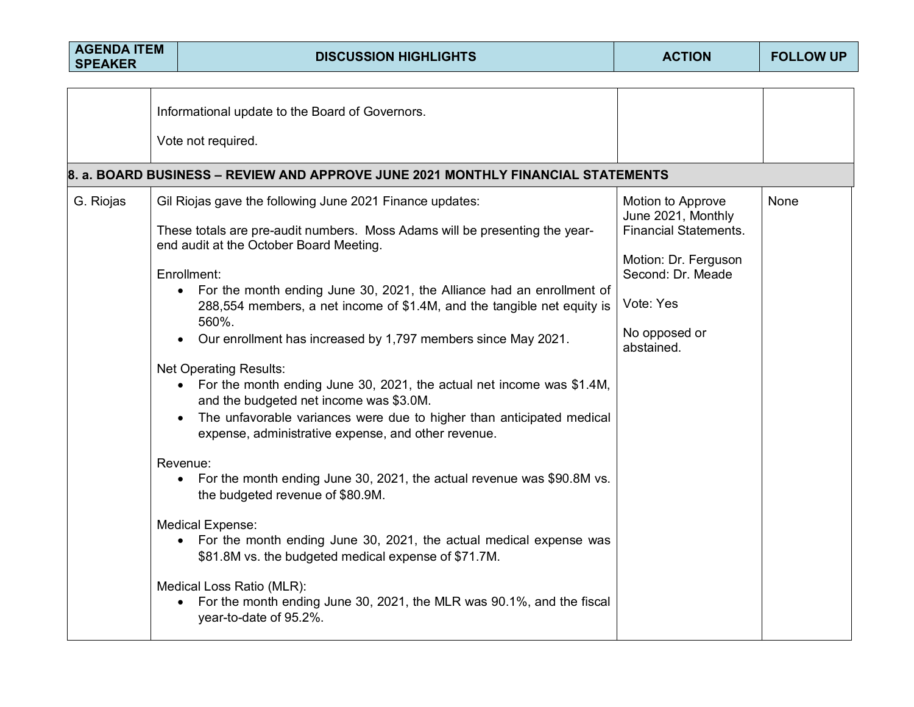| <b>AGENDA ITEM</b><br><b>SPEAKER</b> | <b>DISCUSSION HIGHLIGHTS</b>                                                                                                                                                                                                                                                                                                                                                                                                                                                                                                                                                            | <b>ACTION</b>                                                                         | <b>FOLLOW UP</b> |
|--------------------------------------|-----------------------------------------------------------------------------------------------------------------------------------------------------------------------------------------------------------------------------------------------------------------------------------------------------------------------------------------------------------------------------------------------------------------------------------------------------------------------------------------------------------------------------------------------------------------------------------------|---------------------------------------------------------------------------------------|------------------|
|                                      |                                                                                                                                                                                                                                                                                                                                                                                                                                                                                                                                                                                         |                                                                                       |                  |
|                                      | Informational update to the Board of Governors.                                                                                                                                                                                                                                                                                                                                                                                                                                                                                                                                         |                                                                                       |                  |
|                                      | Vote not required.                                                                                                                                                                                                                                                                                                                                                                                                                                                                                                                                                                      |                                                                                       |                  |
|                                      | 8. a. BOARD BUSINESS - REVIEW AND APPROVE JUNE 2021 MONTHLY FINANCIAL STATEMENTS                                                                                                                                                                                                                                                                                                                                                                                                                                                                                                        |                                                                                       |                  |
| G. Riojas                            | Gil Riojas gave the following June 2021 Finance updates:<br>These totals are pre-audit numbers. Moss Adams will be presenting the year-                                                                                                                                                                                                                                                                                                                                                                                                                                                 | Motion to Approve<br>June 2021, Monthly<br><b>Financial Statements.</b>               | None             |
|                                      | end audit at the October Board Meeting.<br>Enrollment:<br>For the month ending June 30, 2021, the Alliance had an enrollment of<br>288,554 members, a net income of \$1.4M, and the tangible net equity is<br>560%.<br>Our enrollment has increased by 1,797 members since May 2021.<br><b>Net Operating Results:</b><br>• For the month ending June 30, 2021, the actual net income was \$1.4M,<br>and the budgeted net income was \$3.0M.<br>The unfavorable variances were due to higher than anticipated medical<br>expense, administrative expense, and other revenue.<br>Revenue: | Motion: Dr. Ferguson<br>Second: Dr. Meade<br>Vote: Yes<br>No opposed or<br>abstained. |                  |
|                                      | For the month ending June 30, 2021, the actual revenue was \$90.8M vs.<br>$\bullet$<br>the budgeted revenue of \$80.9M.<br><b>Medical Expense:</b><br>For the month ending June 30, 2021, the actual medical expense was<br>\$81.8M vs. the budgeted medical expense of \$71.7M.<br>Medical Loss Ratio (MLR):<br>For the month ending June 30, 2021, the MLR was 90.1%, and the fiscal<br>$\bullet$<br>year-to-date of 95.2%.                                                                                                                                                           |                                                                                       |                  |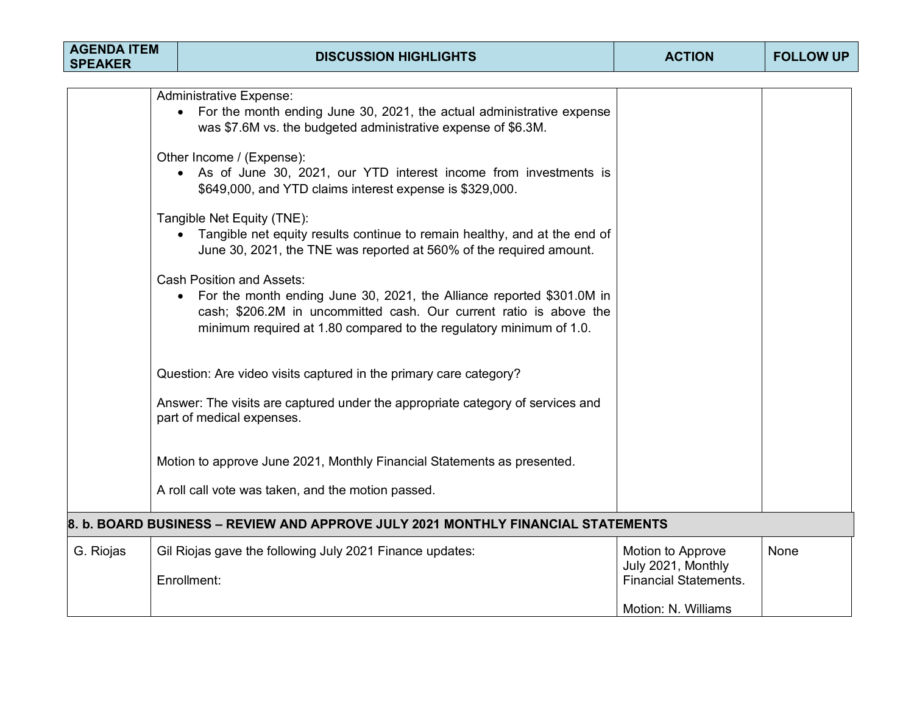| <b>AGENDA ITEM</b><br><b>SPEAKER</b> |                                                                                                                                                                                  | <b>DISCUSSION HIGHLIGHTS</b>                                                                                                                                                                                                                           | <b>ACTION</b>                           | <b>FOLLOW UP</b> |  |  |  |  |
|--------------------------------------|----------------------------------------------------------------------------------------------------------------------------------------------------------------------------------|--------------------------------------------------------------------------------------------------------------------------------------------------------------------------------------------------------------------------------------------------------|-----------------------------------------|------------------|--|--|--|--|
|                                      |                                                                                                                                                                                  |                                                                                                                                                                                                                                                        |                                         |                  |  |  |  |  |
|                                      | <b>Administrative Expense:</b><br>For the month ending June 30, 2021, the actual administrative expense<br>was \$7.6M vs. the budgeted administrative expense of \$6.3M.         |                                                                                                                                                                                                                                                        |                                         |                  |  |  |  |  |
|                                      | Other Income / (Expense):<br>• As of June 30, 2021, our YTD interest income from investments is<br>\$649,000, and YTD claims interest expense is \$329,000.                      |                                                                                                                                                                                                                                                        |                                         |                  |  |  |  |  |
|                                      | Tangible Net Equity (TNE):<br>• Tangible net equity results continue to remain healthy, and at the end of<br>June 30, 2021, the TNE was reported at 560% of the required amount. |                                                                                                                                                                                                                                                        |                                         |                  |  |  |  |  |
|                                      |                                                                                                                                                                                  | <b>Cash Position and Assets:</b><br>For the month ending June 30, 2021, the Alliance reported \$301.0M in<br>cash; \$206.2M in uncommitted cash. Our current ratio is above the<br>minimum required at 1.80 compared to the regulatory minimum of 1.0. |                                         |                  |  |  |  |  |
|                                      |                                                                                                                                                                                  | Question: Are video visits captured in the primary care category?                                                                                                                                                                                      |                                         |                  |  |  |  |  |
|                                      |                                                                                                                                                                                  | Answer: The visits are captured under the appropriate category of services and<br>part of medical expenses.                                                                                                                                            |                                         |                  |  |  |  |  |
|                                      |                                                                                                                                                                                  | Motion to approve June 2021, Monthly Financial Statements as presented.                                                                                                                                                                                |                                         |                  |  |  |  |  |
|                                      |                                                                                                                                                                                  | A roll call vote was taken, and the motion passed.                                                                                                                                                                                                     |                                         |                  |  |  |  |  |
|                                      |                                                                                                                                                                                  | 8. b. BOARD BUSINESS – REVIEW AND APPROVE JULY 2021 MONTHLY FINANCIAL STATEMENTS                                                                                                                                                                       |                                         |                  |  |  |  |  |
| G. Riojas                            |                                                                                                                                                                                  | Gil Riojas gave the following July 2021 Finance updates:                                                                                                                                                                                               | Motion to Approve<br>July 2021, Monthly | <b>None</b>      |  |  |  |  |
|                                      |                                                                                                                                                                                  | Enrollment:                                                                                                                                                                                                                                            | <b>Financial Statements.</b>            |                  |  |  |  |  |
|                                      |                                                                                                                                                                                  |                                                                                                                                                                                                                                                        | Motion: N. Williams                     |                  |  |  |  |  |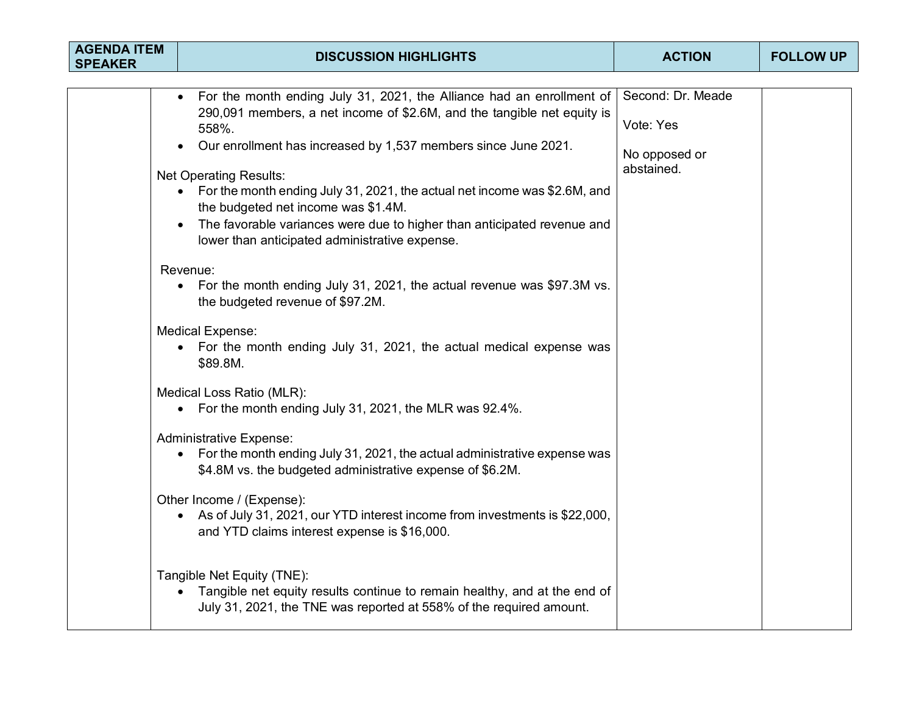| <b>AGENDA ITEM</b><br><b>SPEAKER</b> | <b>DISCUSSION HIGHLIGHTS</b>                                                                                                                                                                                                                                                                                                                                                                                                                                                                                                                                                                                                                                                                                                                                                                                                                                                                                                                                                                                                                                                                                                                                                                                                                                                                                                                                                                                      | <b>ACTION</b>                                                 | <b>FOLLOW UP</b> |
|--------------------------------------|-------------------------------------------------------------------------------------------------------------------------------------------------------------------------------------------------------------------------------------------------------------------------------------------------------------------------------------------------------------------------------------------------------------------------------------------------------------------------------------------------------------------------------------------------------------------------------------------------------------------------------------------------------------------------------------------------------------------------------------------------------------------------------------------------------------------------------------------------------------------------------------------------------------------------------------------------------------------------------------------------------------------------------------------------------------------------------------------------------------------------------------------------------------------------------------------------------------------------------------------------------------------------------------------------------------------------------------------------------------------------------------------------------------------|---------------------------------------------------------------|------------------|
|                                      | For the month ending July 31, 2021, the Alliance had an enrollment of<br>290,091 members, a net income of \$2.6M, and the tangible net equity is<br>558%.<br>Our enrollment has increased by 1,537 members since June 2021.<br><b>Net Operating Results:</b><br>For the month ending July 31, 2021, the actual net income was \$2.6M, and<br>the budgeted net income was \$1.4M.<br>The favorable variances were due to higher than anticipated revenue and<br>lower than anticipated administrative expense.<br>Revenue:<br>For the month ending July 31, 2021, the actual revenue was \$97.3M vs.<br>$\bullet$<br>the budgeted revenue of \$97.2M.<br><b>Medical Expense:</b><br>• For the month ending July 31, 2021, the actual medical expense was<br>\$89.8M.<br>Medical Loss Ratio (MLR):<br>• For the month ending July 31, 2021, the MLR was 92.4%.<br><b>Administrative Expense:</b><br>For the month ending July 31, 2021, the actual administrative expense was<br>$\bullet$<br>\$4.8M vs. the budgeted administrative expense of \$6.2M.<br>Other Income / (Expense):<br>As of July 31, 2021, our YTD interest income from investments is \$22,000,<br>$\bullet$<br>and YTD claims interest expense is \$16,000.<br>Tangible Net Equity (TNE):<br>• Tangible net equity results continue to remain healthy, and at the end of<br>July 31, 2021, the TNE was reported at 558% of the required amount. | Second: Dr. Meade<br>Vote: Yes<br>No opposed or<br>abstained. |                  |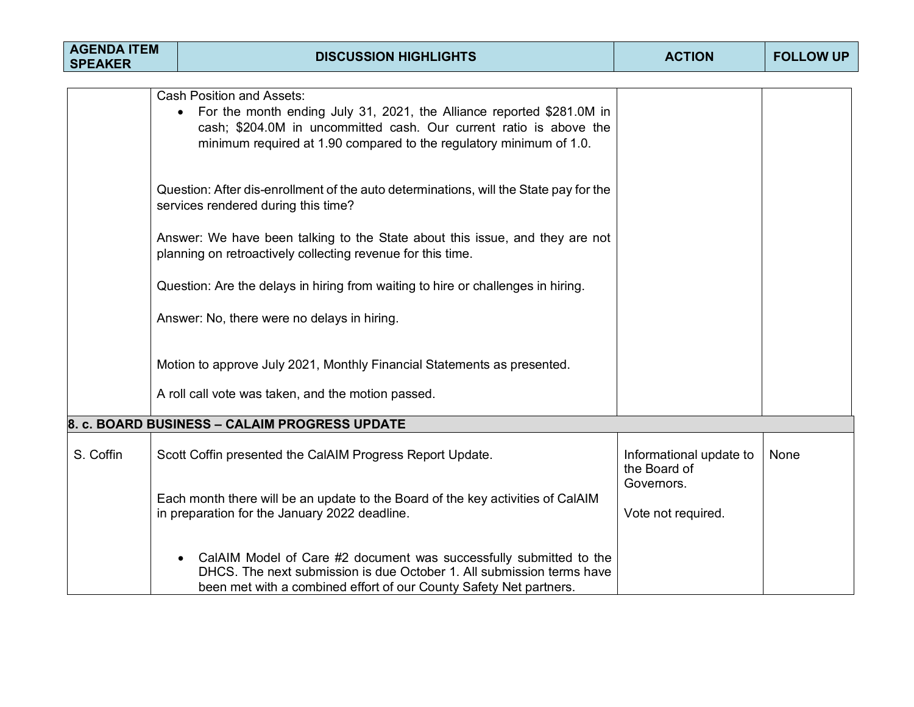| <b>AGENDA ITEM</b><br><b>SPEAKER</b> | <b>DISCUSSION HIGHLIGHTS</b>                                                                                                                                                                                                                                                                                                                                                                                                                                                                                                                                                                                                                                                                                                                                                                              | <b>ACTION</b>                                         | <b>FOLLOW UP</b> |
|--------------------------------------|-----------------------------------------------------------------------------------------------------------------------------------------------------------------------------------------------------------------------------------------------------------------------------------------------------------------------------------------------------------------------------------------------------------------------------------------------------------------------------------------------------------------------------------------------------------------------------------------------------------------------------------------------------------------------------------------------------------------------------------------------------------------------------------------------------------|-------------------------------------------------------|------------------|
|                                      | <b>Cash Position and Assets:</b><br>For the month ending July 31, 2021, the Alliance reported \$281.0M in<br>cash; \$204.0M in uncommitted cash. Our current ratio is above the<br>minimum required at 1.90 compared to the regulatory minimum of 1.0.<br>Question: After dis-enrollment of the auto determinations, will the State pay for the<br>services rendered during this time?<br>Answer: We have been talking to the State about this issue, and they are not<br>planning on retroactively collecting revenue for this time.<br>Question: Are the delays in hiring from waiting to hire or challenges in hiring.<br>Answer: No, there were no delays in hiring.<br>Motion to approve July 2021, Monthly Financial Statements as presented.<br>A roll call vote was taken, and the motion passed. |                                                       |                  |
|                                      | 8. c. BOARD BUSINESS - CALAIM PROGRESS UPDATE                                                                                                                                                                                                                                                                                                                                                                                                                                                                                                                                                                                                                                                                                                                                                             |                                                       |                  |
| S. Coffin                            | Scott Coffin presented the CalAIM Progress Report Update.                                                                                                                                                                                                                                                                                                                                                                                                                                                                                                                                                                                                                                                                                                                                                 | Informational update to<br>the Board of<br>Governors. | None             |
|                                      | Each month there will be an update to the Board of the key activities of CalAIM<br>in preparation for the January 2022 deadline.                                                                                                                                                                                                                                                                                                                                                                                                                                                                                                                                                                                                                                                                          | Vote not required.                                    |                  |
|                                      | CalAIM Model of Care #2 document was successfully submitted to the<br>$\bullet$<br>DHCS. The next submission is due October 1. All submission terms have<br>been met with a combined effort of our County Safety Net partners.                                                                                                                                                                                                                                                                                                                                                                                                                                                                                                                                                                            |                                                       |                  |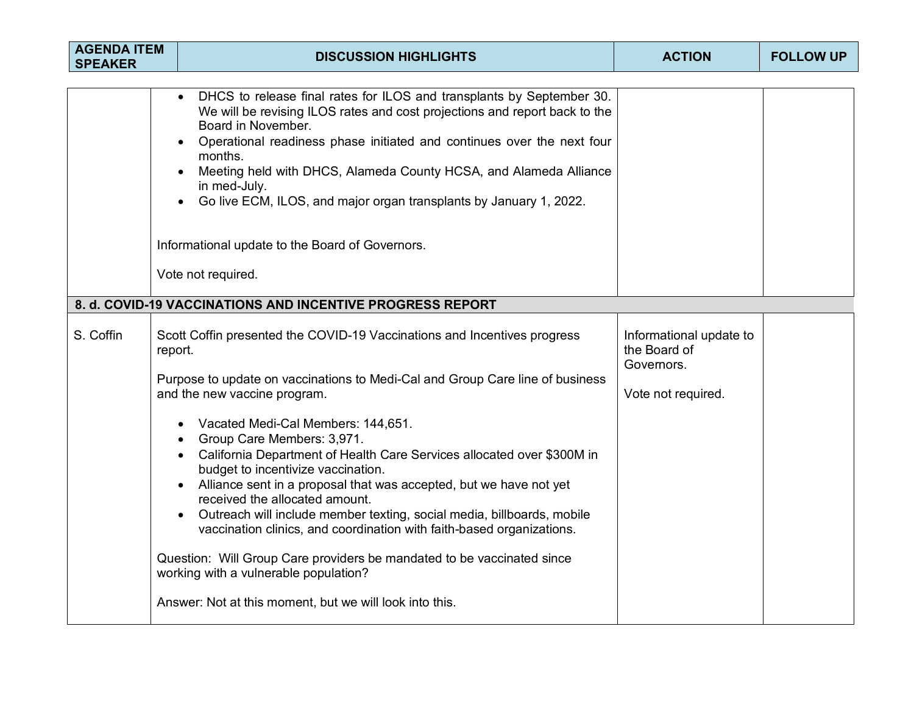| <b>AGENDA ITEM</b><br><b>SPEAKER</b> | <b>DISCUSSION HIGHLIGHTS</b>                                                                                                                                                                                                                                                                                                                                                                                                                                                                                                                                                                                                                                                                                                                                                                                                                   | <b>ACTION</b>                                                               | <b>FOLLOW UP</b> |
|--------------------------------------|------------------------------------------------------------------------------------------------------------------------------------------------------------------------------------------------------------------------------------------------------------------------------------------------------------------------------------------------------------------------------------------------------------------------------------------------------------------------------------------------------------------------------------------------------------------------------------------------------------------------------------------------------------------------------------------------------------------------------------------------------------------------------------------------------------------------------------------------|-----------------------------------------------------------------------------|------------------|
|                                      | DHCS to release final rates for ILOS and transplants by September 30.<br>$\bullet$<br>We will be revising ILOS rates and cost projections and report back to the<br>Board in November.<br>Operational readiness phase initiated and continues over the next four<br>months.<br>Meeting held with DHCS, Alameda County HCSA, and Alameda Alliance<br>in med-July.<br>Go live ECM, ILOS, and major organ transplants by January 1, 2022.<br>Informational update to the Board of Governors.<br>Vote not required.                                                                                                                                                                                                                                                                                                                                |                                                                             |                  |
|                                      | 8. d. COVID-19 VACCINATIONS AND INCENTIVE PROGRESS REPORT                                                                                                                                                                                                                                                                                                                                                                                                                                                                                                                                                                                                                                                                                                                                                                                      |                                                                             |                  |
| S. Coffin                            | Scott Coffin presented the COVID-19 Vaccinations and Incentives progress<br>report.<br>Purpose to update on vaccinations to Medi-Cal and Group Care line of business<br>and the new vaccine program.<br>Vacated Medi-Cal Members: 144,651.<br>$\bullet$<br>Group Care Members: 3,971.<br>California Department of Health Care Services allocated over \$300M in<br>budget to incentivize vaccination.<br>Alliance sent in a proposal that was accepted, but we have not yet<br>received the allocated amount.<br>Outreach will include member texting, social media, billboards, mobile<br>vaccination clinics, and coordination with faith-based organizations.<br>Question: Will Group Care providers be mandated to be vaccinated since<br>working with a vulnerable population?<br>Answer: Not at this moment, but we will look into this. | Informational update to<br>the Board of<br>Governors.<br>Vote not required. |                  |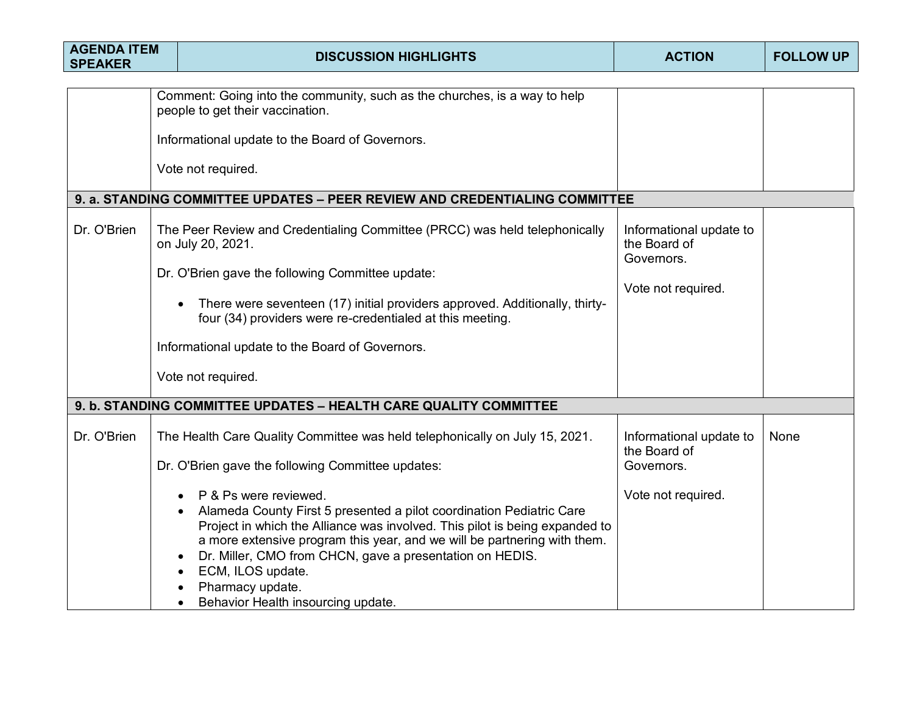| <b>AGENDA ITEM</b><br><b>SPEAKER</b>                                                                                                                                    |  | <b>DISCUSSION HIGHLIGHTS</b>                                                                                                                                                                                                                                                                                                                                                                 | <b>ACTION</b>                                                               | <b>FOLLOW UP</b> |
|-------------------------------------------------------------------------------------------------------------------------------------------------------------------------|--|----------------------------------------------------------------------------------------------------------------------------------------------------------------------------------------------------------------------------------------------------------------------------------------------------------------------------------------------------------------------------------------------|-----------------------------------------------------------------------------|------------------|
|                                                                                                                                                                         |  | Comment: Going into the community, such as the churches, is a way to help<br>people to get their vaccination.<br>Informational update to the Board of Governors.<br>Vote not required.                                                                                                                                                                                                       |                                                                             |                  |
| 9. a. STANDING COMMITTEE UPDATES - PEER REVIEW AND CREDENTIALING COMMITTEE<br>Dr. O'Brien<br>The Peer Review and Credentialing Committee (PRCC) was held telephonically |  |                                                                                                                                                                                                                                                                                                                                                                                              | Informational update to                                                     |                  |
|                                                                                                                                                                         |  | on July 20, 2021.<br>Dr. O'Brien gave the following Committee update:<br>There were seventeen (17) initial providers approved. Additionally, thirty-<br>four (34) providers were re-credentialed at this meeting.                                                                                                                                                                            | the Board of<br>Governors.<br>Vote not required.                            |                  |
|                                                                                                                                                                         |  | Informational update to the Board of Governors.<br>Vote not required.                                                                                                                                                                                                                                                                                                                        |                                                                             |                  |
|                                                                                                                                                                         |  | 9. b. STANDING COMMITTEE UPDATES - HEALTH CARE QUALITY COMMITTEE                                                                                                                                                                                                                                                                                                                             |                                                                             |                  |
| Dr. O'Brien                                                                                                                                                             |  | The Health Care Quality Committee was held telephonically on July 15, 2021.<br>Dr. O'Brien gave the following Committee updates:<br>P & Ps were reviewed.<br>Alameda County First 5 presented a pilot coordination Pediatric Care<br>Project in which the Alliance was involved. This pilot is being expanded to<br>a more extensive program this year, and we will be partnering with them. | Informational update to<br>the Board of<br>Governors.<br>Vote not required. | None             |
|                                                                                                                                                                         |  | Dr. Miller, CMO from CHCN, gave a presentation on HEDIS.<br>ECM, ILOS update.<br>$\bullet$<br>Pharmacy update.<br>Behavior Health insourcing update.<br>$\bullet$                                                                                                                                                                                                                            |                                                                             |                  |